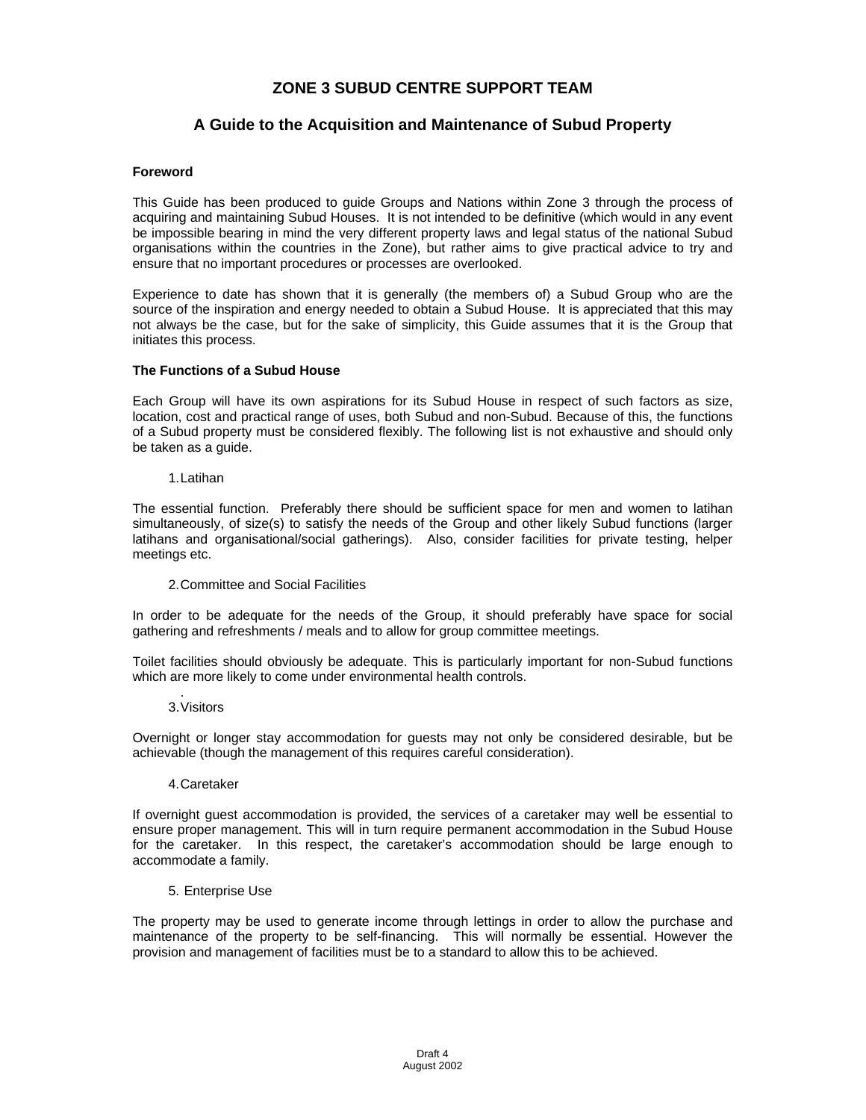# **ZONE 3 SUBUD CENTRE SUPPORT TEAM**

# **A Guide to the Acquisition and Maintenance of Subud Property**

## **Foreword**

This Guide has been produced to guide Groups and Nations within Zone 3 through the process of acquiring and maintaining Subud Houses. It is not intended to be definitive (which would in any event be impossible bearing in mind the very different property laws and legal status of the national Subud organisations within the countries in the Zone), but rather aims to give practical advice to try and ensure that no important procedures or processes are overlooked.

Experience to date has shown that it is generally (the members of) a Subud Group who are the source of the inspiration and energy needed to obtain a Subud House. It is appreciated that this may not always be the case, but for the sake of simplicity, this Guide assumes that it is the Group that initiates this process.

## **The Functions of a Subud House**

Each Group will have its own aspirations for its Subud House in respect of such factors as size, location, cost and practical range of uses, both Subud and non-Subud. Because of this, the functions of a Subud property must be considered flexibly. The following list is not exhaustive and should only be taken as a guide.

1. Latihan

The essential function. Preferably there should be sufficient space for men and women to latihan simultaneously, of size(s) to satisfy the needs of the Group and other likely Subud functions (larger latihans and organisational/social gatherings). Also, consider facilities for private testing, helper meetings etc.

2. Committee and Social Facilities

In order to be adequate for the needs of the Group, it should preferably have space for social gathering and refreshments / meals and to allow for group committee meetings.

Toilet facilities should obviously be adequate. This is particularly important for non-Subud functions which are more likely to come under environmental health controls.

 . 3. Visitors

Overnight or longer stay accommodation for guests may not only be considered desirable, but be achievable (though the management of this requires careful consideration).

## 4.Caretaker

If overnight guest accommodation is provided, the services of a caretaker may well be essential to ensure proper management. This will in turn require permanent accommodation in the Subud House for the caretaker. In this respect, the caretaker's accommodation should be large enough to accommodate a family.

5. Enterprise Use

The property may be used to generate income through lettings in order to allow the purchase and maintenance of the property to be self-financing. This will normally be essential. However the provision and management of facilities must be to a standard to allow this to be achieved.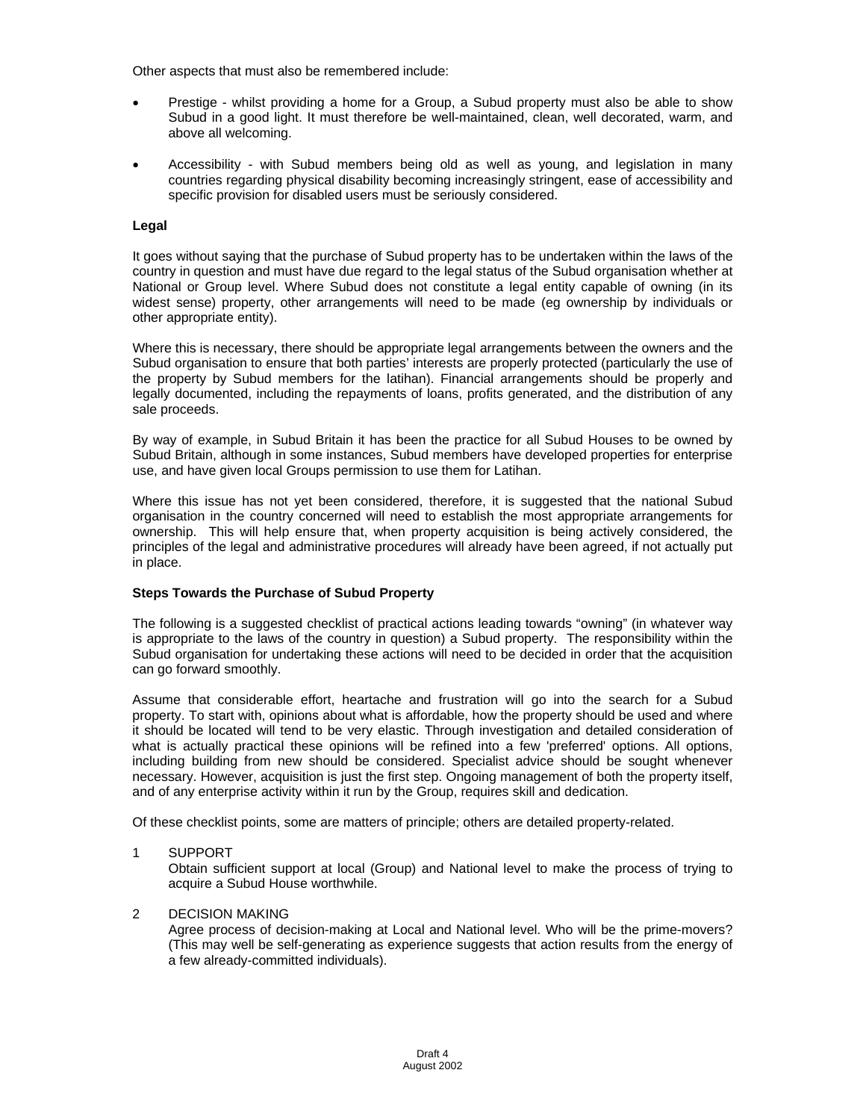Other aspects that must also be remembered include:

- Prestige whilst providing a home for a Group, a Subud property must also be able to show Subud in a good light. It must therefore be well-maintained, clean, well decorated, warm, and above all welcoming.
- Accessibility with Subud members being old as well as young, and legislation in many countries regarding physical disability becoming increasingly stringent, ease of accessibility and specific provision for disabled users must be seriously considered.

# **Legal**

It goes without saying that the purchase of Subud property has to be undertaken within the laws of the country in question and must have due regard to the legal status of the Subud organisation whether at National or Group level. Where Subud does not constitute a legal entity capable of owning (in its widest sense) property, other arrangements will need to be made (eg ownership by individuals or other appropriate entity).

Where this is necessary, there should be appropriate legal arrangements between the owners and the Subud organisation to ensure that both parties' interests are properly protected (particularly the use of the property by Subud members for the latihan). Financial arrangements should be properly and legally documented, including the repayments of loans, profits generated, and the distribution of any sale proceeds.

By way of example, in Subud Britain it has been the practice for all Subud Houses to be owned by Subud Britain, although in some instances, Subud members have developed properties for enterprise use, and have given local Groups permission to use them for Latihan.

Where this issue has not yet been considered, therefore, it is suggested that the national Subud organisation in the country concerned will need to establish the most appropriate arrangements for ownership. This will help ensure that, when property acquisition is being actively considered, the principles of the legal and administrative procedures will already have been agreed, if not actually put in place.

## **Steps Towards the Purchase of Subud Property**

The following is a suggested checklist of practical actions leading towards "owning" (in whatever way is appropriate to the laws of the country in question) a Subud property. The responsibility within the Subud organisation for undertaking these actions will need to be decided in order that the acquisition can go forward smoothly.

Assume that considerable effort, heartache and frustration will go into the search for a Subud property. To start with, opinions about what is affordable, how the property should be used and where it should be located will tend to be very elastic. Through investigation and detailed consideration of what is actually practical these opinions will be refined into a few 'preferred' options. All options, including building from new should be considered. Specialist advice should be sought whenever necessary. However, acquisition is just the first step. Ongoing management of both the property itself, and of any enterprise activity within it run by the Group, requires skill and dedication.

Of these checklist points, some are matters of principle; others are detailed property-related.

## 1 SUPPORT

Obtain sufficient support at local (Group) and National level to make the process of trying to acquire a Subud House worthwhile.

# 2 DECISION MAKING

Agree process of decision-making at Local and National level. Who will be the prime-movers? (This may well be self-generating as experience suggests that action results from the energy of a few already-committed individuals).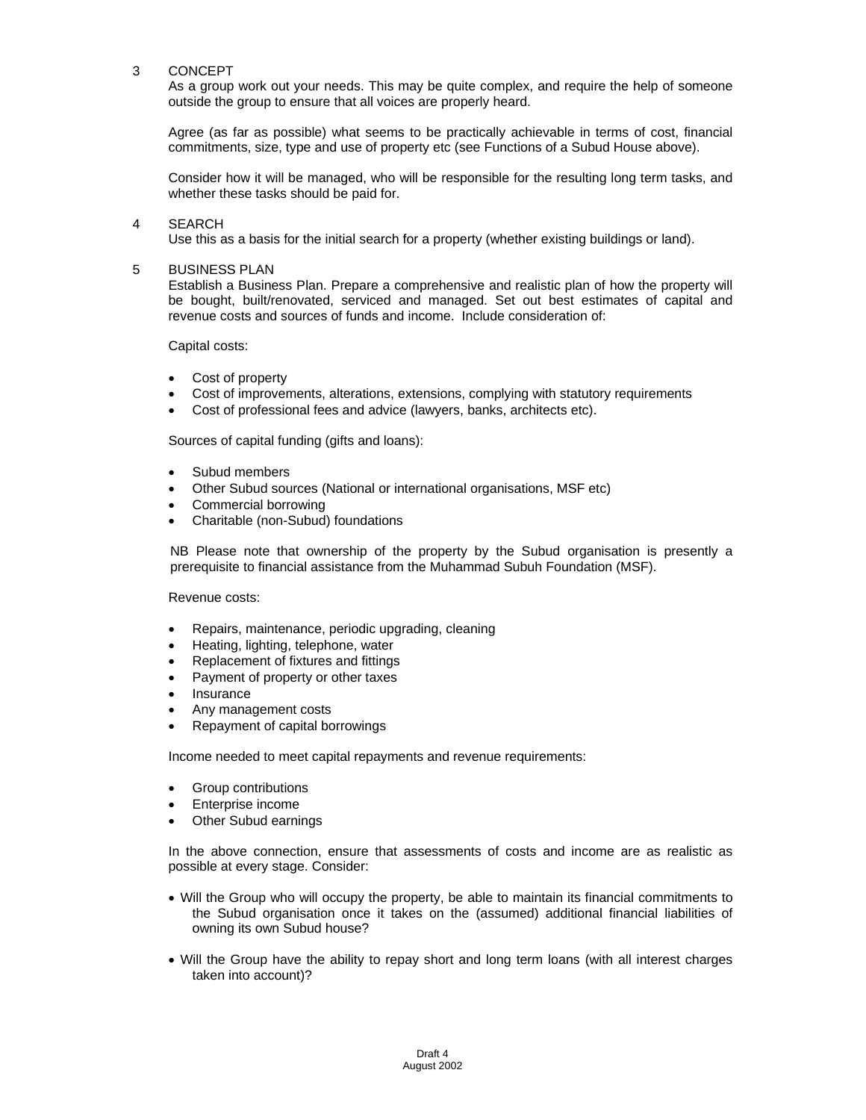## 3 CONCEPT

As a group work out your needs. This may be quite complex, and require the help of someone outside the group to ensure that all voices are properly heard.

Agree (as far as possible) what seems to be practically achievable in terms of cost, financial commitments, size, type and use of property etc (see Functions of a Subud House above).

Consider how it will be managed, who will be responsible for the resulting long term tasks, and whether these tasks should be paid for.

#### 4 SEARCH

Use this as a basis for the initial search for a property (whether existing buildings or land).

#### 5 BUSINESS PLAN

Establish a Business Plan. Prepare a comprehensive and realistic plan of how the property will be bought, built/renovated, serviced and managed. Set out best estimates of capital and revenue costs and sources of funds and income. Include consideration of:

Capital costs:

- Cost of property
- Cost of improvements, alterations, extensions, complying with statutory requirements
- Cost of professional fees and advice (lawyers, banks, architects etc).

Sources of capital funding (gifts and loans):

- Subud members
- Other Subud sources (National or international organisations, MSF etc)
- Commercial borrowing
- Charitable (non-Subud) foundations

NB Please note that ownership of the property by the Subud organisation is presently a prerequisite to financial assistance from the Muhammad Subuh Foundation (MSF).

Revenue costs:

- Repairs, maintenance, periodic upgrading, cleaning
- Heating, lighting, telephone, water
- Replacement of fixtures and fittings
- Payment of property or other taxes
- Insurance
- Any management costs
- Repayment of capital borrowings

Income needed to meet capital repayments and revenue requirements:

- Group contributions
- Enterprise income
- Other Subud earnings

In the above connection, ensure that assessments of costs and income are as realistic as possible at every stage. Consider:

- Will the Group who will occupy the property, be able to maintain its financial commitments to the Subud organisation once it takes on the (assumed) additional financial liabilities of owning its own Subud house?
- Will the Group have the ability to repay short and long term loans (with all interest charges taken into account)?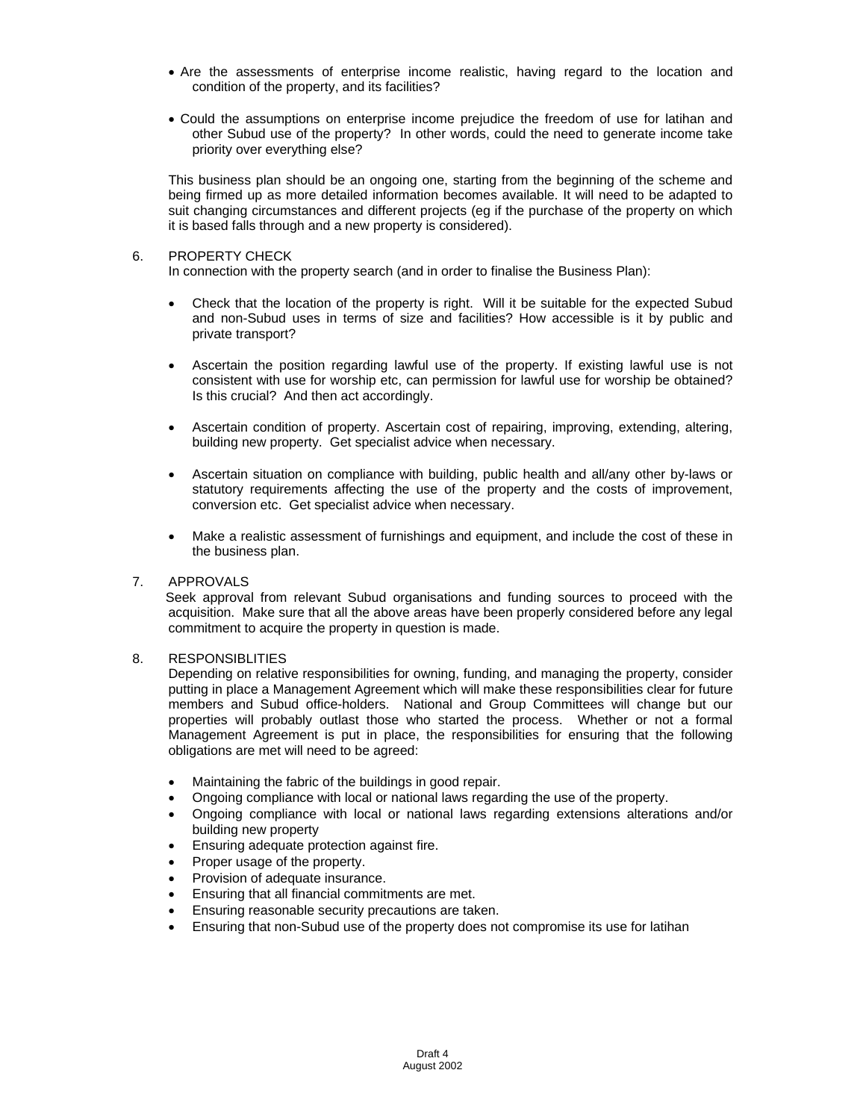- Are the assessments of enterprise income realistic, having regard to the location and condition of the property, and its facilities?
- Could the assumptions on enterprise income prejudice the freedom of use for latihan and other Subud use of the property? In other words, could the need to generate income take priority over everything else?

This business plan should be an ongoing one, starting from the beginning of the scheme and being firmed up as more detailed information becomes available. It will need to be adapted to suit changing circumstances and different projects (eg if the purchase of the property on which it is based falls through and a new property is considered).

## 6. PROPERTY CHECK

In connection with the property search (and in order to finalise the Business Plan):

- Check that the location of the property is right. Will it be suitable for the expected Subud and non-Subud uses in terms of size and facilities? How accessible is it by public and private transport?
- Ascertain the position regarding lawful use of the property. If existing lawful use is not consistent with use for worship etc, can permission for lawful use for worship be obtained? Is this crucial? And then act accordingly.
- Ascertain condition of property. Ascertain cost of repairing, improving, extending, altering, building new property. Get specialist advice when necessary.
- Ascertain situation on compliance with building, public health and all/any other by-laws or statutory requirements affecting the use of the property and the costs of improvement, conversion etc. Get specialist advice when necessary.
- Make a realistic assessment of furnishings and equipment, and include the cost of these in the business plan.

## 7. APPROVALS

 Seek approval from relevant Subud organisations and funding sources to proceed with the acquisition. Make sure that all the above areas have been properly considered before any legal commitment to acquire the property in question is made.

## 8. RESPONSIBLITIES

Depending on relative responsibilities for owning, funding, and managing the property, consider putting in place a Management Agreement which will make these responsibilities clear for future members and Subud office-holders. National and Group Committees will change but our properties will probably outlast those who started the process. Whether or not a formal Management Agreement is put in place, the responsibilities for ensuring that the following obligations are met will need to be agreed:

- Maintaining the fabric of the buildings in good repair.
- Ongoing compliance with local or national laws regarding the use of the property.
- Ongoing compliance with local or national laws regarding extensions alterations and/or building new property
- Ensuring adequate protection against fire.
- Proper usage of the property.
- Provision of adequate insurance.
- Ensuring that all financial commitments are met.
- Ensuring reasonable security precautions are taken.
- Ensuring that non-Subud use of the property does not compromise its use for latihan